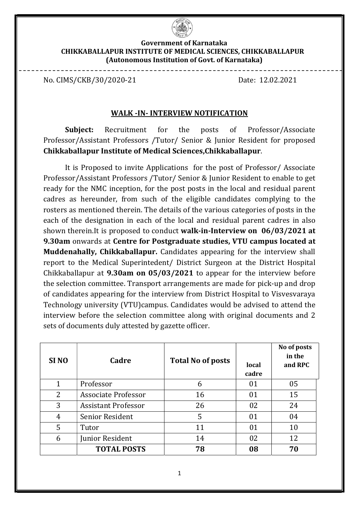

#### Government of Karnataka CHIKKABALLAPUR INSTITUTE OF MEDICAL SCIENCES, CHIKKABALLAPUR (Autonomous Institution of Govt. of Karnataka)

No. CIMS/CKB/30/2020-21 Date: 12.02.2021

#### WALK -IN- INTERVIEW NOTIFICATION

Subject: Recruitment for the posts of Professor/Associate Professor/Assistant Professors /Tutor/ Senior & Junior Resident for proposed Chikkaballapur Institute of Medical Sciences,Chikkaballapur.

It is Proposed to invite Applications for the post of Professor/ Associate Professor/Assistant Professors /Tutor/ Senior & Junior Resident to enable to get ready for the NMC inception, for the post posts in the local and residual parent cadres as hereunder, from such of the eligible candidates complying to the rosters as mentioned therein. The details of the various categories of posts in the each of the designation in each of the local and residual parent cadres in also shown therein.It is proposed to conduct walk-in-Interview on 06/03/2021 at 9.30am onwards at Centre for Postgraduate studies, VTU campus located at Muddenahally, Chikkaballapur. Candidates appearing for the interview shall report to the Medical Superintedent/ District Surgeon at the District Hospital Chikkaballapur at 9.30am on 05/03/2021 to appear for the interview before the selection committee. Transport arrangements are made for pick-up and drop of candidates appearing for the interview from District Hospital to Visvesvaraya Technology university (VTU)campus. Candidates would be advised to attend the interview before the selection committee along with original documents and 2 sets of documents duly attested by gazette officer.

| SI <sub>NO</sub> | Cadre                      | <b>Total No of posts</b> | local<br>cadre | No of posts<br>in the<br>and RPC |
|------------------|----------------------------|--------------------------|----------------|----------------------------------|
| 1                | Professor                  | 6                        | 01             | 05                               |
| 2                | Associate Professor        | 16                       | 01             | 15                               |
| 3                | <b>Assistant Professor</b> | 26                       | 02             | 24                               |
| 4                | <b>Senior Resident</b>     | 5                        | 01             | 04                               |
| 5                | Tutor                      | 11                       | 01             | 10                               |
| 6                | Junior Resident            | 14                       | 02             | 12                               |
|                  | <b>TOTAL POSTS</b>         | 78                       | 08             | 70                               |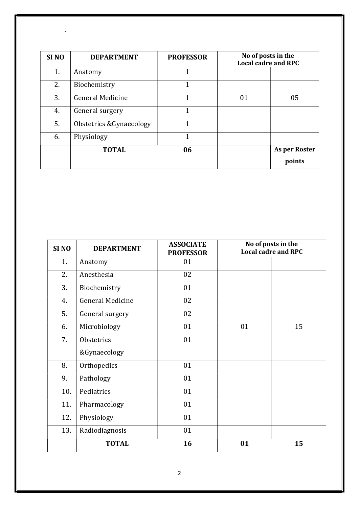| SI <sub>NO</sub> | <b>DEPARTMENT</b>        | <b>PROFESSOR</b> | No of posts in the<br><b>Local cadre and RPC</b> |               |
|------------------|--------------------------|------------------|--------------------------------------------------|---------------|
| 1.               | Anatomy                  | 1                |                                                  |               |
| 2.               | Biochemistry             | 1                |                                                  |               |
| 3.               | <b>General Medicine</b>  | 1                | 01                                               | 05            |
| 4.               | General surgery          | 1                |                                                  |               |
| 5.               | Obstetrics & Gynaecology | 1                |                                                  |               |
| 6.               | Physiology               | 1                |                                                  |               |
|                  | <b>TOTAL</b>             | 06               |                                                  | As per Roster |
|                  |                          |                  |                                                  | points        |

.

| SI <sub>NO</sub> | <b>DEPARTMENT</b>       | <b>ASSOCIATE</b><br><b>PROFESSOR</b> | No of posts in the<br><b>Local cadre and RPC</b> |    |
|------------------|-------------------------|--------------------------------------|--------------------------------------------------|----|
| 1.               | Anatomy                 | 01                                   |                                                  |    |
| 2.               | Anesthesia              | 02                                   |                                                  |    |
| 3.               | Biochemistry            | 01                                   |                                                  |    |
| 4.               | <b>General Medicine</b> | 02                                   |                                                  |    |
| 5.               | General surgery         | 02                                   |                                                  |    |
| 6.               | Microbiology            | 01                                   | 01                                               | 15 |
| 7.               | Obstetrics              | 01                                   |                                                  |    |
|                  | &Gynaecology            |                                      |                                                  |    |
| 8.               | Orthopedics             | 01                                   |                                                  |    |
| 9.               | Pathology               | 01                                   |                                                  |    |
| 10.              | Pediatrics              | 01                                   |                                                  |    |
| 11.              | Pharmacology            | 01                                   |                                                  |    |
| 12.              | Physiology              | 01                                   |                                                  |    |
| 13.              | 01<br>Radiodiagnosis    |                                      |                                                  |    |
|                  | <b>TOTAL</b>            | 16                                   | 01                                               | 15 |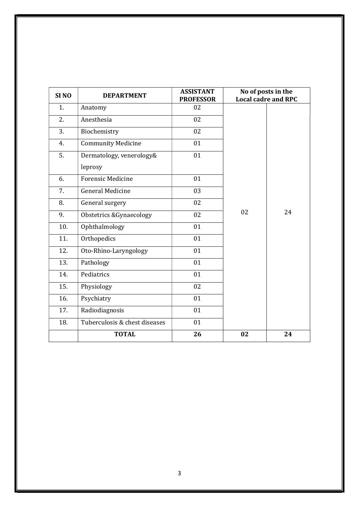| SI <sub>NO</sub> | <b>DEPARTMENT</b>                  | <b>ASSISTANT</b><br><b>PROFESSOR</b> |    | No of posts in the<br><b>Local cadre and RPC</b> |
|------------------|------------------------------------|--------------------------------------|----|--------------------------------------------------|
| 1.               | Anatomy                            | 02                                   |    |                                                  |
| 2.               | Anesthesia                         | 02                                   |    |                                                  |
| 3.               | Biochemistry                       | 02                                   |    |                                                  |
| 4.               | <b>Community Medicine</b>          | 01                                   |    |                                                  |
| 5.               | Dermatology, venerology&           | 01                                   |    |                                                  |
|                  | leprosy                            |                                      |    |                                                  |
| 6.               | <b>Forensic Medicine</b>           | 01                                   |    |                                                  |
| 7.               | <b>General Medicine</b>            | 03                                   |    |                                                  |
| 8.               | General surgery                    | 02                                   |    |                                                  |
| 9.               | <b>Obstetrics &amp;Gynaecology</b> | $\overline{02}$                      | 02 | 24                                               |
| 10.              | Ophthalmology                      | 01                                   |    |                                                  |
| 11.              | Orthopedics                        | 01                                   |    |                                                  |
| 12.              | Oto-Rhino-Laryngology              | 01                                   |    |                                                  |
| 13.              | Pathology                          | 01                                   |    |                                                  |
| 14.              | Pediatrics                         | 01                                   |    |                                                  |
| 15.              | Physiology                         | 02                                   |    |                                                  |
| 16.              | Psychiatry                         | 01                                   |    |                                                  |
| 17.              | Radiodiagnosis                     | 01                                   |    |                                                  |
| 18.              | Tuberculosis & chest diseases      | 01                                   |    |                                                  |
|                  | <b>TOTAL</b>                       | 26                                   | 02 | 24                                               |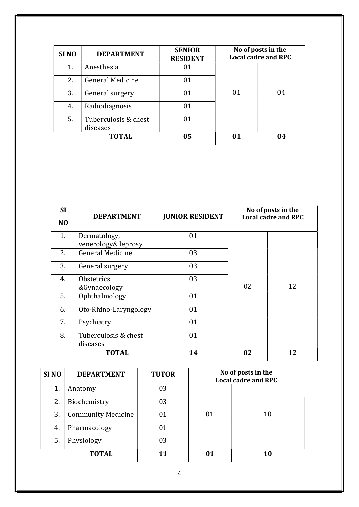| SI <sub>NO</sub> | <b>DEPARTMENT</b>                | <b>SENIOR</b><br><b>RESIDENT</b> | No of posts in the<br><b>Local cadre and RPC</b> |    |
|------------------|----------------------------------|----------------------------------|--------------------------------------------------|----|
| 1.               | Anesthesia                       | 01                               |                                                  |    |
| 2.               | <b>General Medicine</b>          | 01                               |                                                  |    |
| 3.               | General surgery                  | 01                               | 01                                               | 04 |
| 4.               | Radiodiagnosis                   | 01                               |                                                  |    |
| 5.               | Tuberculosis & chest<br>diseases | 01                               |                                                  |    |
|                  | <b>TOTAL</b>                     | 05                               | 01                                               | 04 |

| <b>SI</b>      | <b>DEPARTMENT</b>                   | <b>JUNIOR RESIDENT</b> |    | No of posts in the<br><b>Local cadre and RPC</b> |
|----------------|-------------------------------------|------------------------|----|--------------------------------------------------|
| N <sub>O</sub> |                                     |                        |    |                                                  |
| 1.             | Dermatology,<br>venerology& leprosy | 01                     |    |                                                  |
| 2.             | <b>General Medicine</b>             | 03                     |    |                                                  |
| 3.             | General surgery                     | 03                     |    |                                                  |
| 4.             | <b>Obstetrics</b><br>&Gynaecology   | 03                     | 02 | 12                                               |
| 5.             | Ophthalmology                       | 01                     |    |                                                  |
| 6.             | Oto-Rhino-Laryngology               | 01                     |    |                                                  |
| 7.             | Psychiatry                          | 01                     |    |                                                  |
| 8.             | Tuberculosis & chest<br>diseases    | 01                     |    |                                                  |
|                | <b>TOTAL</b>                        | 14                     | 02 | 12                                               |

| SI <sub>NO</sub> | <b>DEPARTMENT</b>         | <b>TUTOR</b> | No of posts in the<br><b>Local cadre and RPC</b> |    |  |
|------------------|---------------------------|--------------|--------------------------------------------------|----|--|
| 1.               | Anatomy                   | 03           |                                                  |    |  |
| 2.               | Biochemistry              | 03           |                                                  |    |  |
| 3.               | <b>Community Medicine</b> | 01           | 01                                               | 10 |  |
| 4.               | Pharmacology              | 01           |                                                  |    |  |
| 5.               | Physiology                | 03           |                                                  |    |  |
|                  | <b>TOTAL</b>              | 11           | 01                                               | 10 |  |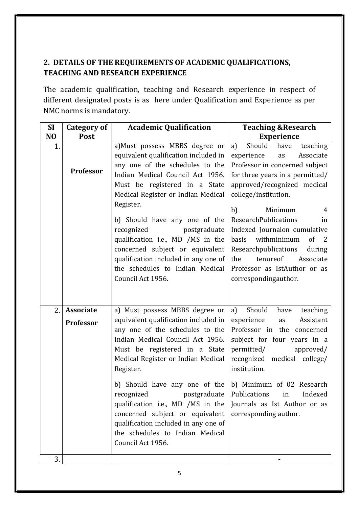## 2. DETAILS OF THE REQUIREMENTS OF ACADEMIC QUALIFICATIONS, TEACHING AND RESEARCH EXPERIENCE

The academic qualification, teaching and Research experience in respect of different designated posts is as here under Qualification and Experience as per NMC norms is mandatory.

| <b>SI</b>      | Category of      | <b>Academic Qualification</b>                                        | <b>Teaching &amp; Research</b>                              |  |  |
|----------------|------------------|----------------------------------------------------------------------|-------------------------------------------------------------|--|--|
| N <sub>O</sub> | Post             |                                                                      | <b>Experience</b>                                           |  |  |
| 1.             |                  | a)Must possess MBBS degree or                                        | Should<br>a)<br>teaching<br>have                            |  |  |
|                |                  | equivalent qualification included in                                 | Associate<br>experience<br>as                               |  |  |
|                | Professor        | any one of the schedules to the                                      | Professor in concerned subject                              |  |  |
|                |                  | Indian Medical Council Act 1956.                                     | for three years in a permitted/                             |  |  |
|                |                  | Must be registered in a State                                        | approved/recognized medical                                 |  |  |
|                |                  | Medical Register or Indian Medical                                   | college/institution.                                        |  |  |
|                |                  | Register.                                                            | b)<br>Minimum<br>4                                          |  |  |
|                |                  | b) Should have any one of the                                        | ResearchPublications<br>in                                  |  |  |
|                |                  | recognized<br>postgraduate                                           | Indexed Journalon cumulative                                |  |  |
|                |                  | qualification i.e., MD /MS in the                                    | withminimum<br>of<br>basis<br>2                             |  |  |
|                |                  | concerned subject or equivalent                                      | Researchpublications<br>during                              |  |  |
|                |                  | qualification included in any one of                                 | tenureof<br>the<br>Associate                                |  |  |
|                |                  | the schedules to Indian Medical                                      | Professor as IstAuthor or as                                |  |  |
|                |                  | Council Act 1956.                                                    | correspondingauthor.                                        |  |  |
|                |                  |                                                                      |                                                             |  |  |
|                |                  |                                                                      |                                                             |  |  |
| 2.             | <b>Associate</b> | a) Must possess MBBS degree or                                       | Should<br>a)<br>have<br>teaching                            |  |  |
|                | Professor        | equivalent qualification included in                                 | Assistant<br>experience<br>as<br>Professor in the concerned |  |  |
|                |                  | any one of the schedules to the<br>Indian Medical Council Act 1956.  | subject for four years in a                                 |  |  |
|                |                  | Must be registered in a State                                        | permitted/<br>approved/                                     |  |  |
|                |                  | Medical Register or Indian Medical                                   | recognized medical college/                                 |  |  |
|                |                  | Register.                                                            | institution.                                                |  |  |
|                |                  |                                                                      |                                                             |  |  |
|                |                  | b) Should have any one of the                                        | b) Minimum of 02 Research                                   |  |  |
|                |                  | recognized<br>postgraduate                                           | Publications<br>in<br>Indexed                               |  |  |
|                |                  | qualification i.e., MD /MS in the<br>concerned subject or equivalent | Journals as Ist Author or as                                |  |  |
|                |                  | qualification included in any one of                                 | corresponding author.                                       |  |  |
|                |                  | the schedules to Indian Medical                                      |                                                             |  |  |
|                |                  | Council Act 1956.                                                    |                                                             |  |  |
|                |                  |                                                                      |                                                             |  |  |
| 3.             |                  |                                                                      |                                                             |  |  |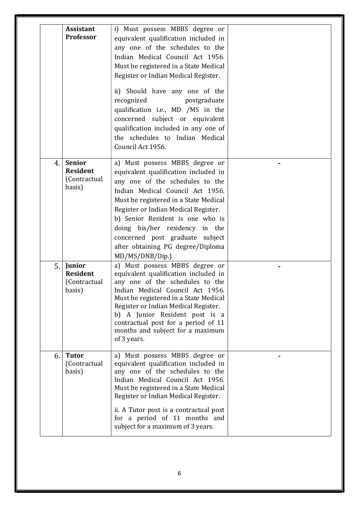|    | <b>Assistant</b><br>Professor                              | i) Must possess MBBS degree or<br>equivalent qualification included in<br>any one of the schedules to the<br>Indian Medical Council Act 1956.<br>Must be registered in a State Medical<br>Register or Indian Medical Register.<br>ii) Should have any one of the<br>recognized<br>postgraduate<br>qualification i.e., MD /MS in the<br>concerned subject or equivalent<br>qualification included in any one of<br>the schedules to Indian Medical<br>Council Act 1956. |  |
|----|------------------------------------------------------------|------------------------------------------------------------------------------------------------------------------------------------------------------------------------------------------------------------------------------------------------------------------------------------------------------------------------------------------------------------------------------------------------------------------------------------------------------------------------|--|
| 4. | <b>Senior</b><br><b>Resident</b><br>(Contractual<br>basis) | a) Must possess MBBS degree or<br>equivalent qualification included in<br>any one of the schedules to the<br>Indian Medical Council Act 1956.<br>Must be registered in a State Medical<br>Register or Indian Medical Register.<br>b) Senior Resident is one who is<br>doing his/her residency in the<br>concerned post graduate subject<br>after obtaining PG degree/Diploma<br>MD/MS/DNB/Dip.)                                                                        |  |
| 5. | Junior<br><b>Resident</b><br>(Contractual<br>basis)        | a) Must possess MBBS degree or<br>equivalent qualification included in<br>any one of the schedules to the<br>Indian Medical Council Act 1956.<br>Must be registered in a State Medical<br>Register or Indian Medical Register.<br>b) A Junior Resident post is a<br>contractual post for a period of 11<br>months and subject for a maximum<br>of 3 years.                                                                                                             |  |
| 6. | <b>Tutor</b><br>(Contractual<br>basis)                     | a) Must possess MBBS degree or<br>equivalent qualification included in<br>any one of the schedules to the<br>Indian Medical Council Act 1956.<br>Must be registered in a State Medical<br>Register or Indian Medical Register.<br>ii. A Tutor post is a contractual post<br>for a period of 11 months and<br>subject for a maximum of 3 years.                                                                                                                         |  |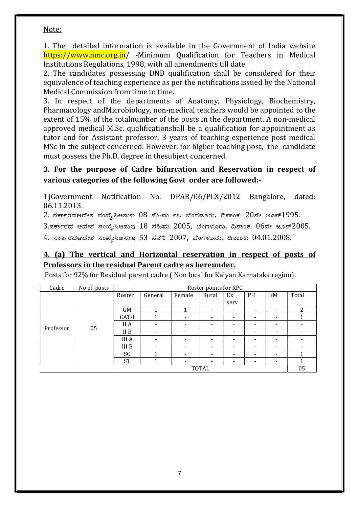#### Note:

1. The detailed information is available in the Government of India website https://www.nmc.org.in/ -Minimum Qualification for Teachers in Medical Institutions Regulations, 1998, with all amendments till date

2. The candidates possessing DNB qualification shall be considered for their equivalence of teaching experience as per the notifications issued by the National Medical Commission from time to time.

3. In respect of the departments of Anatomy, Physiology, Biochemistry, Pharmacology andMicrobiology, non-medical teachers would be appointed to the extent of 15% of the totalnumber of the posts in the department. A non-medical approved medical M.Sc. qualificationshall be a qualification for appointment as tutor and for Assistant professor, 3 years of teaching experience post medical MSc in the subject concerned. However, for higher teaching post, the candidate must possess the Ph.D. degree in thesubject concerned.

#### 3. For the purpose of Cadre bifurcation and Reservation in respect of various categories of the following Govt order are followed:-

1)Government Notification No. DPAR/06/PLX/2012 Bangalore, dated: 06.11.2013.

 $2.$  ಸರ್ಕಾರದಆದೇಶ ಸಂಖ್ಯೆ:ಸಿಆಸುಇ  $08$  ಸೆಹಿಮ ೯೫, ಬೆಂಗಳೂರು, ದಿನಾಂಕ:  $20$ ನೇ ಜೂನ್ $1995.$ 

 $3.$ ಸರ್ಕಾರದ ಆದೇಶ ಸಂಖ್ಯೆ:ಸಿಆಸುಇ  $18$  ಸೆಹಿಮ  $2005$ , ಬೆಂಗಳೂರು, ದಿನಾಂಕ:  $06$ ನೇ ಜೂನ್ $2005.$ 

4. ಸರ್ಕಾರದಆದೇಶ ಸಂಖ್ಯೆ:ಸಿಆಸುಇ 53 ಸೆನೆನಿ 2007, ಬೆಂಗಳೂರು, ದಿನಾಂಕ: 04.01.2008.

#### 4. (a) The vertical and Horizontal reservation in respect of posts of Professors in the residual Parent cadre as hereunder.

| Posts for 92% for Residual parent cadre (Non local for Kalyan Karnataka region). |  |
|----------------------------------------------------------------------------------|--|
|----------------------------------------------------------------------------------|--|

| Cadre     | No of posts |           | Roster points for RPC    |                          |                          |                          |                          |                          |       |
|-----------|-------------|-----------|--------------------------|--------------------------|--------------------------|--------------------------|--------------------------|--------------------------|-------|
|           |             | Roster    | General                  | Female                   | Rural                    | Ex                       | PH                       | KM                       | Total |
|           |             |           |                          |                          |                          | serv                     |                          |                          |       |
|           |             | GM        |                          |                          | $\overline{\phantom{a}}$ | $\overline{\phantom{a}}$ | $\overline{\phantom{a}}$ | $\overline{\phantom{0}}$ | 2     |
|           |             | CAT-I     |                          | $\overline{\phantom{a}}$ | $\overline{\phantom{a}}$ | $\overline{\phantom{a}}$ | $\overline{\phantom{0}}$ |                          |       |
|           |             | II A      | -                        | $\overline{\phantom{a}}$ | -                        | -                        |                          |                          |       |
| Professor | 05          | II B      | $\overline{\phantom{0}}$ | $\overline{\phantom{a}}$ | $\overline{\phantom{a}}$ | $\overline{\phantom{a}}$ |                          |                          |       |
|           |             | III A     | $\overline{\phantom{a}}$ | $\overline{\phantom{a}}$ | $\overline{\phantom{a}}$ | $\overline{\phantom{a}}$ | $\overline{\phantom{a}}$ | $\overline{\phantom{0}}$ |       |
|           |             | III B     | $\overline{\phantom{a}}$ | $\overline{\phantom{a}}$ | $\overline{\phantom{a}}$ | $\overline{\phantom{a}}$ | $\overline{\phantom{a}}$ | -                        |       |
|           |             | <b>SC</b> |                          | $\overline{\phantom{a}}$ | $\overline{\phantom{a}}$ | $\overline{\phantom{a}}$ | $\overline{\phantom{a}}$ | $\overline{\phantom{0}}$ |       |
|           |             | <b>ST</b> |                          | $\overline{\phantom{a}}$ | -                        | $\overline{\phantom{a}}$ |                          |                          |       |
|           |             |           | <b>TOTAL</b><br>05       |                          |                          |                          |                          |                          |       |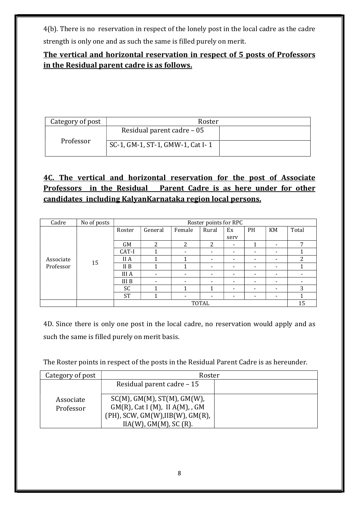4(b). There is no reservation in respect of the lonely post in the local cadre as the cadre strength is only one and as such the same is filled purely on merit.

## The vertical and horizontal reservation in respect of 5 posts of Professors in the Residual parent cadre is as follows.

| Category of post | Roster                           |  |
|------------------|----------------------------------|--|
|                  | Residual parent cadre – 05       |  |
| Professor        | SC-1, GM-1, ST-1, GMW-1, Cat I-1 |  |

# 4C. The vertical and horizontal reservation for the post of Associate Professors in the Residual Parent Cadre is as here under for other candidates including KalyanKarnataka region local persons.

| Cadre     | No of posts |                 | Roster points for RPC    |                          |                          |                          |                          |                          |       |  |  |
|-----------|-------------|-----------------|--------------------------|--------------------------|--------------------------|--------------------------|--------------------------|--------------------------|-------|--|--|
|           |             | Roster          | General                  | Female                   | Rural                    | Ex                       | PH                       | KM                       | Total |  |  |
|           |             |                 |                          |                          |                          | serv                     |                          |                          |       |  |  |
|           |             | <b>GM</b>       | 2                        | 2                        | 2                        | $\overline{\phantom{a}}$ | 1                        | $\overline{\phantom{a}}$ | 7     |  |  |
|           |             | CAT-I           |                          | $\overline{\phantom{0}}$ | $\overline{\phantom{a}}$ | -                        |                          |                          |       |  |  |
| Associate |             | II A            |                          |                          | $\overline{\phantom{a}}$ | $\overline{\phantom{a}}$ |                          |                          | າ     |  |  |
| Professor | 15          | II <sub>B</sub> |                          |                          | $\overline{\phantom{0}}$ | $\overline{\phantom{a}}$ | ۰                        |                          |       |  |  |
|           |             | <b>III</b> A    | $\overline{\phantom{a}}$ | $\overline{\phantom{a}}$ | $\overline{\phantom{a}}$ | $\overline{\phantom{a}}$ | $\overline{\phantom{0}}$ |                          |       |  |  |
|           |             | III B           | -                        | $\overline{\phantom{a}}$ | $\overline{\phantom{a}}$ | ٠                        | $\overline{\phantom{0}}$ | $\overline{\phantom{a}}$ |       |  |  |
|           |             | <b>SC</b>       |                          |                          | и                        | $\overline{\phantom{a}}$ | $\overline{\phantom{a}}$ | $\overline{\phantom{a}}$ | 3     |  |  |
|           |             | <b>ST</b>       |                          | $\overline{\phantom{0}}$ | $\overline{\phantom{a}}$ | $\overline{\phantom{0}}$ | $\overline{\phantom{a}}$ | $\overline{\phantom{a}}$ |       |  |  |
|           |             | <b>TOTAL</b>    |                          |                          |                          |                          |                          |                          | 15    |  |  |

4D. Since there is only one post in the local cadre, no reservation would apply and as such the same is filled purely on merit basis.

The Roster points in respect of the posts in the Residual Parent Cadre is as hereunder.

| Category of post       | Roster                                                                                                                                         |  |  |  |  |
|------------------------|------------------------------------------------------------------------------------------------------------------------------------------------|--|--|--|--|
|                        | Residual parent cadre - 15                                                                                                                     |  |  |  |  |
| Associate<br>Professor | $SC(M)$ , GM(M), ST(M), GM(W),<br>$GM(R)$ , Cat I (M), II $A(M)$ , GM<br>$(PH)$ , SCW, GM(W), IIB(W), GM(R),<br>$IIA(W)$ , $GM(M)$ , $SC(R)$ . |  |  |  |  |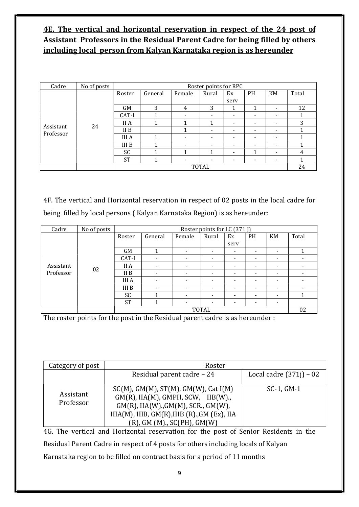## 4E. The vertical and horizontal reservation in respect of the 24 post of Assistant Professors in the Residual Parent Cadre for being filled by others including local person from Kalyan Karnataka region is as hereunder

| Cadre                  | No of posts |              | Roster points for RPC |                          |                          |                          |                          |                          |       |  |  |
|------------------------|-------------|--------------|-----------------------|--------------------------|--------------------------|--------------------------|--------------------------|--------------------------|-------|--|--|
|                        |             |              |                       |                          |                          |                          |                          |                          |       |  |  |
|                        |             | Roster       | General               | Female                   | Rural                    | Ex                       | <b>PH</b>                | KM                       | Total |  |  |
|                        |             |              |                       |                          |                          | serv                     |                          |                          |       |  |  |
|                        |             | <b>GM</b>    | 3                     | 4                        | 3                        | 1                        | 1                        | $\overline{\phantom{a}}$ | 12    |  |  |
|                        |             | CAT-I        |                       | -                        | $\overline{\phantom{a}}$ | $\overline{\phantom{a}}$ | $\overline{\phantom{0}}$ | $\overline{\phantom{a}}$ |       |  |  |
|                        |             | II A         | -1                    | 1                        | и                        | $\overline{\phantom{a}}$ | $\overline{\phantom{0}}$ | $\overline{\phantom{a}}$ | 3     |  |  |
| Assistant<br>Professor | 24          | II B         |                       | 1                        | $\overline{\phantom{a}}$ | $\overline{\phantom{a}}$ | ۰                        | $\overline{\phantom{a}}$ |       |  |  |
|                        |             | <b>III</b> A | 1                     | $\overline{\phantom{a}}$ | $\overline{\phantom{0}}$ | $\overline{\phantom{a}}$ | ۰                        | $\overline{\phantom{0}}$ |       |  |  |
|                        |             | <b>III B</b> | 4                     | -                        | $\overline{\phantom{a}}$ | $\overline{\phantom{a}}$ | $\overline{\phantom{0}}$ | $\overline{\phantom{a}}$ |       |  |  |
|                        |             | <b>SC</b>    | 4                     | 1                        | 1                        | $\overline{\phantom{a}}$ | 1                        | $\overline{\phantom{a}}$ | 4     |  |  |
|                        |             | <b>ST</b>    | 1                     | -                        | -                        | $\overline{\phantom{a}}$ | $\overline{\phantom{0}}$ | -                        |       |  |  |
|                        |             | <b>TOTAL</b> |                       |                          |                          |                          |                          | 24                       |       |  |  |

4F. The vertical and Horizontal reservation in respect of 02 posts in the local cadre for being filled by local persons ( Kalyan Karnataka Region) is as hereunder:

| Cadre     | No of posts |              | Roster points for LC (371 J) |                          |                          |                          |                          |                          |                          |  |  |
|-----------|-------------|--------------|------------------------------|--------------------------|--------------------------|--------------------------|--------------------------|--------------------------|--------------------------|--|--|
|           |             | Roster       | General                      | Female                   | Rural                    | Ex                       | PH                       | KM                       | Total                    |  |  |
|           |             |              |                              |                          |                          | serv                     |                          |                          |                          |  |  |
|           |             | GM           |                              | $\overline{\phantom{a}}$ | $\overline{\phantom{a}}$ | $\overline{\phantom{a}}$ | $\overline{\phantom{0}}$ |                          |                          |  |  |
| Assistant |             | CAT-I        | $\overline{\phantom{a}}$     | $\overline{\phantom{a}}$ | $\overline{\phantom{a}}$ | $\overline{\phantom{0}}$ |                          |                          |                          |  |  |
|           |             | II A         | $\overline{\phantom{a}}$     | $\overline{\phantom{a}}$ | $\overline{\phantom{a}}$ | $\overline{\phantom{a}}$ | -                        |                          |                          |  |  |
| Professor | 02          | II B         | $\overline{\phantom{a}}$     | $\overline{\phantom{a}}$ | ۰                        | $\overline{\phantom{a}}$ | $\overline{\phantom{a}}$ | -                        |                          |  |  |
|           |             | <b>III</b> A | $\overline{\phantom{0}}$     | $\overline{\phantom{a}}$ | $\overline{\phantom{a}}$ | $\overline{\phantom{a}}$ | $\overline{\phantom{0}}$ | -                        | $\overline{\phantom{a}}$ |  |  |
|           |             | III B        |                              | -                        | $\overline{\phantom{a}}$ | -                        | -                        |                          |                          |  |  |
|           |             | SC           |                              | $\overline{\phantom{a}}$ | $\overline{\phantom{a}}$ | $\overline{\phantom{a}}$ | -                        |                          |                          |  |  |
|           |             | <b>ST</b>    |                              | $\overline{\phantom{a}}$ | ٠                        | ٠                        | $\overline{\phantom{0}}$ | $\overline{\phantom{0}}$ |                          |  |  |
|           |             | <b>TOTAL</b> |                              |                          |                          |                          |                          | 02                       |                          |  |  |

The roster points for the post in the Residual parent cadre is as hereunder :

| Category of post       |                                                                                                                                                                                                         |                           |
|------------------------|---------------------------------------------------------------------------------------------------------------------------------------------------------------------------------------------------------|---------------------------|
|                        | Residual parent cadre - 24                                                                                                                                                                              | Local cadre $(371j)$ – 02 |
| Assistant<br>Professor | $SC(M)$ , GM(M), ST(M), GM(W), Cat I(M)<br>$GM(R)$ , IIA(M), GMPH, SCW, IIB(W).,<br>GM(R), IIA(W)., GM(M), SCR., GM(W),<br>IIIA(M), IIIB, GM(R), IIIB (R)., GM (Ex), IIA<br>(R), GM (M)., SC(PH), GM(W) | $SC-1$ , $GM-1$           |

4G. The vertical and Horizontal reservation for the post of Senior Residents in the Residual Parent Cadre in respect of 4 posts for others including locals of Kalyan Karnataka region to be filled on contract basis for a period of 11 months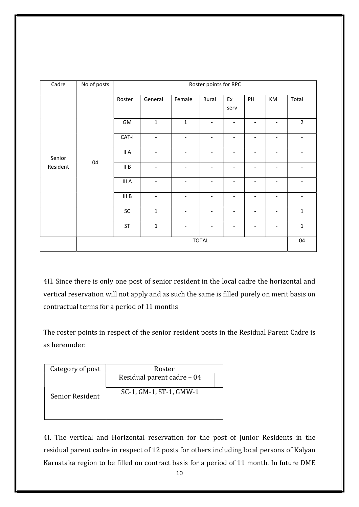| Cadre  | No of posts    |                                     | Roster points for RPC    |                          |                          |                          |                              |                          |                          |  |  |
|--------|----------------|-------------------------------------|--------------------------|--------------------------|--------------------------|--------------------------|------------------------------|--------------------------|--------------------------|--|--|
|        |                | Roster                              | General                  | Female                   | Rural                    | Ex<br>serv               | PH                           | KM                       | Total                    |  |  |
|        |                | GM                                  | $\mathbf 1$              | $\mathbf{1}$             | $\overline{\phantom{a}}$ | ٠                        | ۰                            | ٠                        | $\overline{2}$           |  |  |
|        |                | CAT-I                               | $\overline{\phantom{a}}$ | $\overline{\phantom{a}}$ | $\overline{\phantom{a}}$ | $\overline{\phantom{a}}$ | $\overline{\phantom{a}}$     | $\overline{\phantom{a}}$ |                          |  |  |
| Senior | 04<br>Resident | II A                                | $\overline{\phantom{a}}$ | $\overline{\phantom{a}}$ | $\overline{\phantom{a}}$ | $\overline{\phantom{a}}$ | $\qquad \qquad \blacksquare$ | $\overline{\phantom{a}}$ |                          |  |  |
|        |                | $\ensuremath{\mathsf{II}}\xspace$ B | $\overline{\phantom{a}}$ | $\overline{\phantom{a}}$ | $\overline{\phantom{a}}$ | $\overline{\phantom{a}}$ | $\overline{\phantom{a}}$     | $\overline{\phantom{a}}$ | $\overline{\phantom{a}}$ |  |  |
|        |                | III A                               | $\overline{\phantom{a}}$ | $\overline{\phantom{0}}$ | $\overline{\phantom{a}}$ | $\overline{\phantom{a}}$ | $\overline{\phantom{a}}$     | $\qquad \qquad -$        | $\overline{\phantom{0}}$ |  |  |
|        |                | III <sub>B</sub>                    | $\overline{\phantom{a}}$ | $\overline{\phantom{0}}$ | ٠                        |                          | ۰                            |                          |                          |  |  |
|        |                | SC                                  | $\mathbf 1$              | $\overline{\phantom{a}}$ | $\overline{\phantom{a}}$ | ٠                        | $\qquad \qquad \blacksquare$ | $\overline{\phantom{a}}$ | $\mathbf{1}$             |  |  |
|        |                | ST                                  | $\mathbf 1$              | $\overline{\phantom{0}}$ | $\overline{\phantom{a}}$ | $\overline{\phantom{a}}$ | $\qquad \qquad \blacksquare$ | $\overline{\phantom{a}}$ | $\mathbf{1}$             |  |  |
|        |                | <b>TOTAL</b>                        |                          |                          |                          |                          |                              | 04                       |                          |  |  |

4H. Since there is only one post of senior resident in the local cadre the horizontal and vertical reservation will not apply and as such the same is filled purely on merit basis on contractual terms for a period of 11 months

The roster points in respect of the senior resident posts in the Residual Parent Cadre is as hereunder:

| Category of post | Roster                     |  |
|------------------|----------------------------|--|
|                  | Residual parent cadre – 04 |  |
| Senior Resident  | SC-1, GM-1, ST-1, GMW-1    |  |

4I. The vertical and Horizontal reservation for the post of Junior Residents in the residual parent cadre in respect of 12 posts for others including local persons of Kalyan Karnataka region to be filled on contract basis for a period of 11 month. In future DME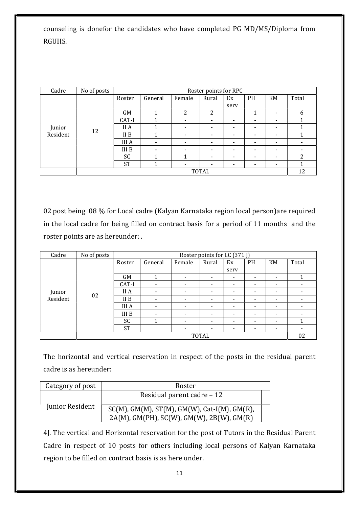counseling is donefor the candidates who have completed PG MD/MS/Diploma from RGUHS.

| Cadre    | No of posts | Roster points for RPC |                          |                          |                          |                          |                          |                          |                          |
|----------|-------------|-----------------------|--------------------------|--------------------------|--------------------------|--------------------------|--------------------------|--------------------------|--------------------------|
|          |             | Roster                | General                  | Female                   | Rural                    | Ex<br>serv               | <b>PH</b>                | KM                       | Total                    |
|          |             | <b>GM</b>             |                          | 2                        | 2                        |                          |                          | -                        | 6                        |
| Junior   |             | CAT-I                 |                          | $\overline{\phantom{a}}$ | $\overline{\phantom{0}}$ | $\overline{\phantom{0}}$ | $\overline{\phantom{a}}$ | ۰                        |                          |
|          |             | II A                  |                          | $\overline{\phantom{a}}$ | $\overline{\phantom{a}}$ | $\overline{\phantom{a}}$ | $\overline{\phantom{a}}$ | $\overline{\phantom{a}}$ |                          |
| Resident | 12          | II <sub>B</sub>       |                          | $\overline{\phantom{a}}$ | $\overline{\phantom{0}}$ | $\overline{\phantom{a}}$ | $\overline{\phantom{a}}$ | $\overline{\phantom{a}}$ |                          |
|          |             | <b>III</b> A          | $\overline{\phantom{a}}$ | $\overline{\phantom{a}}$ | $\overline{\phantom{0}}$ | $\overline{\phantom{0}}$ | $\overline{\phantom{a}}$ | -                        | $\overline{\phantom{a}}$ |
|          |             | III B                 | $\overline{\phantom{a}}$ | $\overline{\phantom{a}}$ | $\overline{\phantom{0}}$ | $\overline{\phantom{0}}$ | $\overline{\phantom{a}}$ | $\overline{\phantom{0}}$ | $\overline{\phantom{a}}$ |
|          |             | <b>SC</b>             |                          | 1                        | $\overline{\phantom{0}}$ | $\overline{\phantom{0}}$ | $\overline{\phantom{a}}$ | $\overline{\phantom{a}}$ | 2                        |
|          |             | <b>ST</b>             | 1                        | $\overline{\phantom{a}}$ | $\,$                     | $\,$                     | $\overline{\phantom{a}}$ | $\overline{\phantom{0}}$ |                          |
|          |             |                       | TOTAL                    |                          |                          |                          |                          |                          |                          |

02 post being 08 % for Local cadre (Kalyan Karnataka region local person)are required in the local cadre for being filled on contract basis for a period of 11 months and the roster points are as hereunder: .

| Cadre    | No of posts |              | Roster points for LC (371 J) |                          |                          |                          |                          |                          |                          |  |  |
|----------|-------------|--------------|------------------------------|--------------------------|--------------------------|--------------------------|--------------------------|--------------------------|--------------------------|--|--|
|          |             | Roster       | General                      | Female                   | Rural                    | Ex<br>serv               | <b>PH</b>                | KM                       | Total                    |  |  |
|          |             | GM           | 1                            | $\overline{\phantom{0}}$ | $\overline{\phantom{a}}$ | $\overline{\phantom{a}}$ | -                        | $\overline{\phantom{a}}$ |                          |  |  |
|          |             | CAT-I        | $\overline{\phantom{a}}$     | $\overline{\phantom{0}}$ | $\overline{\phantom{a}}$ | $\overline{\phantom{a}}$ | $\overline{\phantom{0}}$ | ٠                        | -                        |  |  |
| Junior   |             | II A         | $\overline{\phantom{a}}$     | $\overline{\phantom{a}}$ | $\overline{\phantom{a}}$ | $\overline{\phantom{a}}$ | -                        | $\overline{\phantom{a}}$ |                          |  |  |
| Resident | 02          | II B         | $\overline{\phantom{a}}$     | $\overline{\phantom{a}}$ | $\overline{\phantom{a}}$ | $\overline{\phantom{a}}$ | $\overline{\phantom{a}}$ | $\overline{\phantom{a}}$ | -                        |  |  |
|          |             | <b>III</b> A | $\overline{\phantom{a}}$     | $\overline{\phantom{a}}$ | $\overline{\phantom{a}}$ | $\overline{\phantom{a}}$ | $\overline{\phantom{a}}$ | $\overline{\phantom{a}}$ | -                        |  |  |
|          |             | III B        | ٠                            | ٠                        | $\overline{\phantom{a}}$ | $\overline{\phantom{a}}$ | $\overline{\phantom{a}}$ | $\overline{\phantom{a}}$ | $\overline{\phantom{a}}$ |  |  |
|          |             | SC           | 1                            | $\overline{\phantom{a}}$ | $\overline{\phantom{a}}$ | $\overline{\phantom{a}}$ | -                        | $\overline{\phantom{a}}$ |                          |  |  |
|          |             | <b>ST</b>    |                              | $\overline{\phantom{a}}$ | $\overline{\phantom{a}}$ | $\overline{\phantom{a}}$ | $\overline{\phantom{a}}$ | $\overline{\phantom{a}}$ | -                        |  |  |
|          |             | TOTAL        |                              |                          |                          |                          |                          |                          | 02                       |  |  |

The horizontal and vertical reservation in respect of the posts in the residual parent cadre is as hereunder:

| Category of post | Roster                                                                                       |  |
|------------------|----------------------------------------------------------------------------------------------|--|
|                  | Residual parent cadre – 12                                                                   |  |
| Junior Resident  | $SC(M)$ , GM(M), ST(M), GM(W), Cat-I(M), GM(R),<br>2A(M), GM(PH), SC(W), GM(W), 2B(W), GM(R) |  |

4J. The vertical and Horizontal reservation for the post of Tutors in the Residual Parent Cadre in respect of 10 posts for others including local persons of Kalyan Karnataka region to be filled on contract basis is as here under.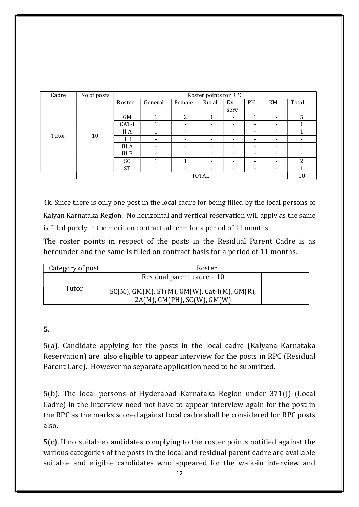| Cadre | No of posts |              | Roster points for RPC |                          |                          |                          |                          |                          |       |  |  |
|-------|-------------|--------------|-----------------------|--------------------------|--------------------------|--------------------------|--------------------------|--------------------------|-------|--|--|
|       |             | Roster       | General               | Female                   | Rural                    | Ex                       | <b>PH</b>                | KM                       | Total |  |  |
|       |             |              |                       |                          |                          | serv                     |                          |                          |       |  |  |
|       |             | <b>GM</b>    | 1                     | 2                        | 1                        | $\overline{\phantom{a}}$ | 1                        | ۰                        | 5     |  |  |
|       |             | CAT-I        |                       | $\overline{\phantom{0}}$ | $\overline{\phantom{0}}$ | $\overline{\phantom{a}}$ | $\overline{\phantom{a}}$ | $\,$                     |       |  |  |
|       |             | II A         |                       | $\overline{\phantom{a}}$ | $\overline{\phantom{0}}$ | $\overline{\phantom{a}}$ | $\overline{\phantom{a}}$ | $\overline{\phantom{0}}$ |       |  |  |
| Tutor | 10          | II B         |                       | -                        | -                        | $\overline{\phantom{a}}$ | $\overline{\phantom{a}}$ | $\overline{\phantom{a}}$ |       |  |  |
|       |             | <b>III</b> A |                       | <b>11</b>                | $\overline{\phantom{0}}$ | $\overline{\phantom{a}}$ | $\overline{\phantom{a}}$ | $\,$                     |       |  |  |
|       |             | III B        |                       | $\overline{\phantom{a}}$ | $\overline{\phantom{0}}$ | $\overline{\phantom{a}}$ | $\overline{\phantom{a}}$ | $\,$                     |       |  |  |
|       |             | SC           |                       | ◢                        |                          |                          | $\overline{\phantom{0}}$ | $\overline{\phantom{a}}$ | 2     |  |  |
|       |             | <b>ST</b>    |                       |                          |                          |                          | $\overline{\phantom{a}}$ | $\overline{\phantom{a}}$ |       |  |  |
|       |             | <b>TOTAL</b> |                       |                          |                          |                          |                          | 10                       |       |  |  |

4k. Since there is only one post in the local cadre for being filled by the local persons of Kalyan Karnataka Region. No horizontal and vertical reservation will apply as the same is filled purely in the merit on contractual term for a period of 11 months

The roster points in respect of the posts in the Residual Parent Cadre is as hereunder and the same is filled on contract basis for a period of 11 months.

| Category of post | Roster                                          |  |
|------------------|-------------------------------------------------|--|
|                  | Residual parent cadre – 10                      |  |
| Tutor            | $SC(M)$ , GM(M), ST(M), GM(W), Cat-I(M), GM(R), |  |
|                  | $2A(M)$ , GM(PH), SC(W), GM(W)                  |  |

### 5.

5(a). Candidate applying for the posts in the local cadre (Kalyana Karnataka Reservation) are also eligible to appear interview for the posts in RPC (Residual Parent Care). However no separate application need to be submitted.

5(b). The local persons of Hyderabad Karnataka Region under 371(J) (Local Cadre) in the interview need not have to appear interview again for the post in the RPC as the marks scored against local cadre shall be considered for RPC posts also.

5(c). If no suitable candidates complying to the roster points notified against the various categories of the posts in the local and residual parent cadre are available suitable and eligible candidates who appeared for the walk-in interview and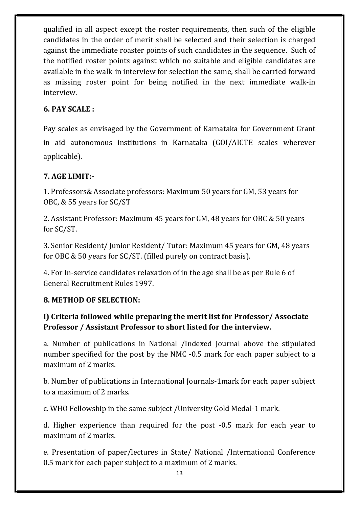qualified in all aspect except the roster requirements, then such of the eligible candidates in the order of merit shall be selected and their selection is charged against the immediate roaster points of such candidates in the sequence. Such of the notified roster points against which no suitable and eligible candidates are available in the walk-in interview for selection the same, shall be carried forward as missing roster point for being notified in the next immediate walk-in interview.

### 6. PAY SCALE :

Pay scales as envisaged by the Government of Karnataka for Government Grant in aid autonomous institutions in Karnataka (GOI/AICTE scales wherever applicable).

### 7. AGE LIMIT:-

1. Professors& Associate professors: Maximum 50 years for GM, 53 years for OBC, & 55 years for SC/ST

2. Assistant Professor: Maximum 45 years for GM, 48 years for OBC & 50 years for SC/ST.

3. Senior Resident/ Junior Resident/ Tutor: Maximum 45 years for GM, 48 years for OBC & 50 years for SC/ST. (filled purely on contract basis).

4. For In-service candidates relaxation of in the age shall be as per Rule 6 of General Recruitment Rules 1997.

#### 8. METHOD OF SELECTION:

## I) Criteria followed while preparing the merit list for Professor/ Associate Professor / Assistant Professor to short listed for the interview.

a. Number of publications in National /Indexed Journal above the stipulated number specified for the post by the NMC -0.5 mark for each paper subject to a maximum of 2 marks.

b. Number of publications in International Journals-1mark for each paper subject to a maximum of 2 marks.

c. WHO Fellowship in the same subject /University Gold Medal-1 mark.

d. Higher experience than required for the post -0.5 mark for each year to maximum of 2 marks.

e. Presentation of paper/lectures in State/ National /International Conference 0.5 mark for each paper subject to a maximum of 2 marks.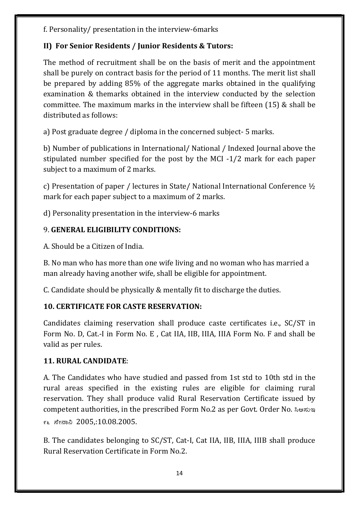f. Personality/ presentation in the interview-6marks

## II) For Senior Residents / Junior Residents & Tutors:

The method of recruitment shall be on the basis of merit and the appointment shall be purely on contract basis for the period of 11 months. The merit list shall be prepared by adding 85% of the aggregate marks obtained in the qualifying examination & themarks obtained in the interview conducted by the selection committee. The maximum marks in the interview shall be fifteen (15) & shall be distributed as follows:

a) Post graduate degree / diploma in the concerned subject- 5 marks.

b) Number of publications in International/ National / Indexed Journal above the stipulated number specified for the post by the MCI -1/2 mark for each paper subject to a maximum of 2 marks.

c) Presentation of paper / lectures in State/ National International Conference ½ mark for each paper subject to a maximum of 2 marks.

d) Personality presentation in the interview-6 marks

# 9. GENERAL ELIGIBILITY CONDITIONS:

A. Should be a Citizen of India.

B. No man who has more than one wife living and no woman who has married a man already having another wife, shall be eligible for appointment.

C. Candidate should be physically & mentally fit to discharge the duties.

# 10. CERTIFICATE FOR CASTE RESERVATION:

Candidates claiming reservation shall produce caste certificates i.e., SC/ST in Form No. D, Cat.-I in Form No. E , Cat IIA, IIB, IIIA, IIIA Form No. F and shall be valid as per rules.

# 11. RURAL CANDIDATE:

A. The Candidates who have studied and passed from 1st std to 10th std in the rural areas specified in the existing rules are eligible for claiming rural reservation. They shall produce valid Rural Reservation Certificate issued by competent authorities, in the prescribed Form No.2 as per Govt. Order No.  $\lambda$ ওন্ডাণ্ড 96 ¸ÉãÁ¤ 2005,:10.08.2005.

B. The candidates belonging to SC/ST, Cat-I, Cat IIA, IIB, IIIA, IIIB shall produce Rural Reservation Certificate in Form No.2.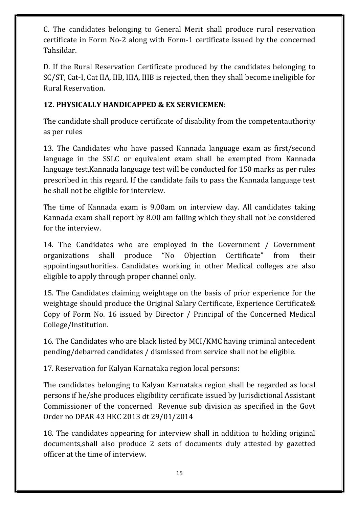C. The candidates belonging to General Merit shall produce rural reservation certificate in Form No-2 along with Form-1 certificate issued by the concerned Tahsildar.

D. If the Rural Reservation Certificate produced by the candidates belonging to SC/ST, Cat-I, Cat IIA, IIB, IIIA, IIIB is rejected, then they shall become ineligible for Rural Reservation.

### 12. PHYSICALLY HANDICAPPED & EX SERVICEMEN:

The candidate shall produce certificate of disability from the competentauthority as per rules

13. The Candidates who have passed Kannada language exam as first/second language in the SSLC or equivalent exam shall be exempted from Kannada language test.Kannada language test will be conducted for 150 marks as per rules prescribed in this regard. If the candidate fails to pass the Kannada language test he shall not be eligible for interview.

The time of Kannada exam is 9.00am on interview day. All candidates taking Kannada exam shall report by 8.00 am failing which they shall not be considered for the interview.

14. The Candidates who are employed in the Government / Government organizations shall produce "No Objection Certificate" from their appointingauthorities. Candidates working in other Medical colleges are also eligible to apply through proper channel only.

15. The Candidates claiming weightage on the basis of prior experience for the weightage should produce the Original Salary Certificate, Experience Certificate& Copy of Form No. 16 issued by Director / Principal of the Concerned Medical College/Institution.

16. The Candidates who are black listed by MCI/KMC having criminal antecedent pending/debarred candidates / dismissed from service shall not be eligible.

17. Reservation for Kalyan Karnataka region local persons:

The candidates belonging to Kalyan Karnataka region shall be regarded as local persons if he/she produces eligibility certificate issued by Jurisdictional Assistant Commissioner of the concerned Revenue sub division as specified in the Govt Order no DPAR 43 HKC 2013 dt 29/01/2014

18. The candidates appearing for interview shall in addition to holding original documents,shall also produce 2 sets of documents duly attested by gazetted officer at the time of interview.